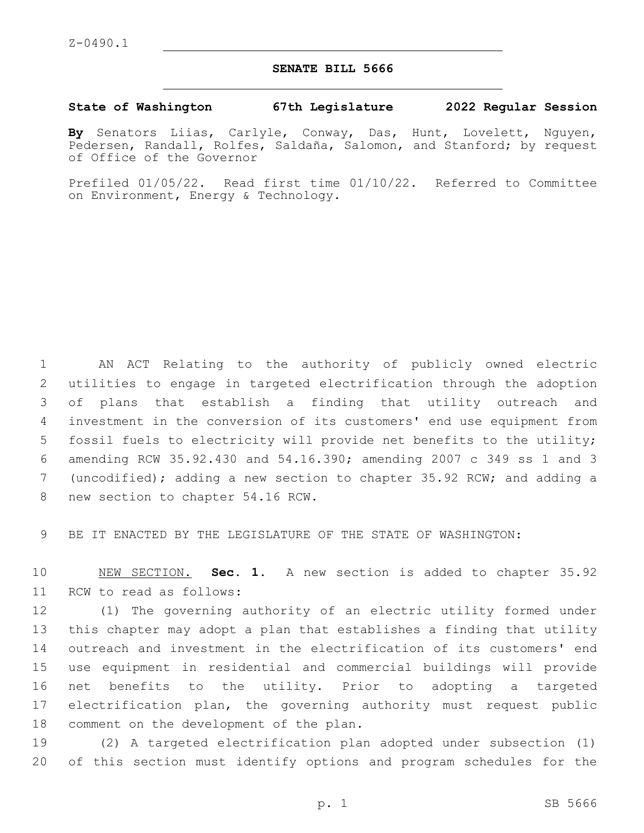## **SENATE BILL 5666**

## **State of Washington 67th Legislature 2022 Regular Session**

**By** Senators Liias, Carlyle, Conway, Das, Hunt, Lovelett, Nguyen, Pedersen, Randall, Rolfes, Saldaña, Salomon, and Stanford; by request of Office of the Governor

Prefiled 01/05/22. Read first time 01/10/22. Referred to Committee on Environment, Energy & Technology.

 AN ACT Relating to the authority of publicly owned electric utilities to engage in targeted electrification through the adoption of plans that establish a finding that utility outreach and investment in the conversion of its customers' end use equipment from fossil fuels to electricity will provide net benefits to the utility; amending RCW 35.92.430 and 54.16.390; amending 2007 c 349 ss 1 and 3 (uncodified); adding a new section to chapter 35.92 RCW; and adding a 8 new section to chapter 54.16 RCW.

9 BE IT ENACTED BY THE LEGISLATURE OF THE STATE OF WASHINGTON:

10 NEW SECTION. **Sec. 1.** A new section is added to chapter 35.92 11 RCW to read as follows:

 (1) The governing authority of an electric utility formed under this chapter may adopt a plan that establishes a finding that utility outreach and investment in the electrification of its customers' end use equipment in residential and commercial buildings will provide net benefits to the utility. Prior to adopting a targeted electrification plan, the governing authority must request public 18 comment on the development of the plan.

19 (2) A targeted electrification plan adopted under subsection (1) 20 of this section must identify options and program schedules for the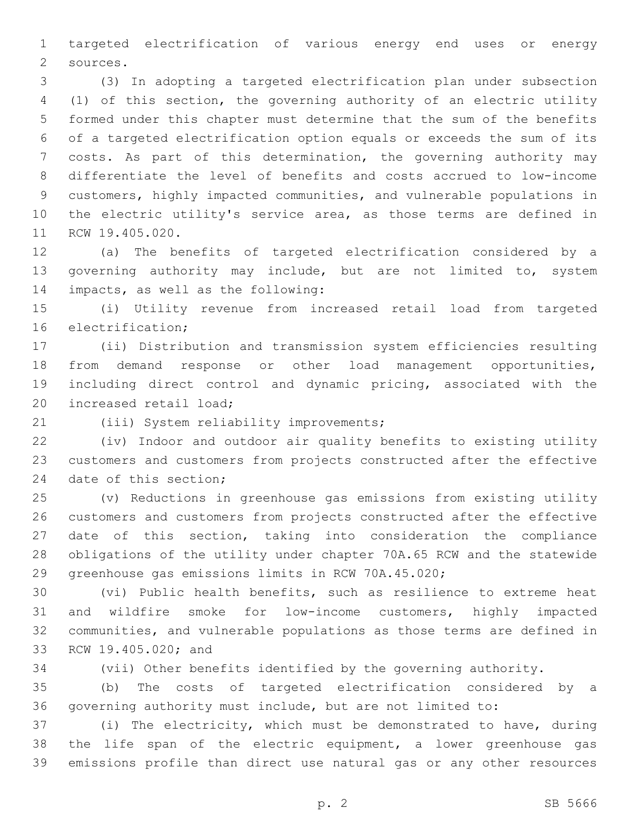targeted electrification of various energy end uses or energy 2 sources.

 (3) In adopting a targeted electrification plan under subsection (1) of this section, the governing authority of an electric utility formed under this chapter must determine that the sum of the benefits of a targeted electrification option equals or exceeds the sum of its costs. As part of this determination, the governing authority may differentiate the level of benefits and costs accrued to low-income customers, highly impacted communities, and vulnerable populations in the electric utility's service area, as those terms are defined in 11 RCW 19.405.020.

 (a) The benefits of targeted electrification considered by a 13 governing authority may include, but are not limited to, system 14 impacts, as well as the following:

 (i) Utility revenue from increased retail load from targeted 16 electrification:

 (ii) Distribution and transmission system efficiencies resulting from demand response or other load management opportunities, including direct control and dynamic pricing, associated with the 20 increased retail load;

21 (iii) System reliability improvements;

 (iv) Indoor and outdoor air quality benefits to existing utility customers and customers from projects constructed after the effective 24 date of this section;

 (v) Reductions in greenhouse gas emissions from existing utility customers and customers from projects constructed after the effective date of this section, taking into consideration the compliance obligations of the utility under chapter 70A.65 RCW and the statewide greenhouse gas emissions limits in RCW 70A.45.020;

 (vi) Public health benefits, such as resilience to extreme heat and wildfire smoke for low-income customers, highly impacted communities, and vulnerable populations as those terms are defined in 33 RCW 19.405.020; and

(vii) Other benefits identified by the governing authority.

 (b) The costs of targeted electrification considered by a governing authority must include, but are not limited to:

 (i) The electricity, which must be demonstrated to have, during the life span of the electric equipment, a lower greenhouse gas emissions profile than direct use natural gas or any other resources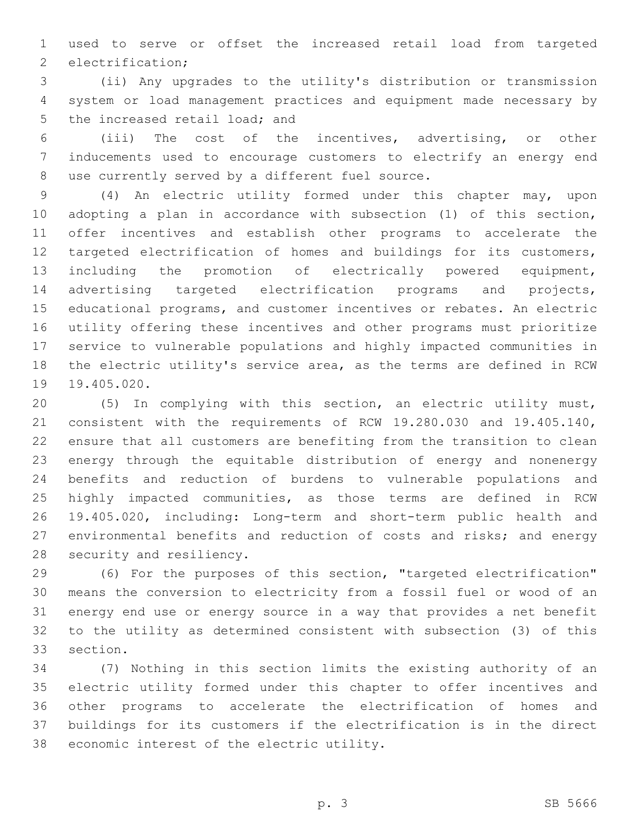used to serve or offset the increased retail load from targeted 2 electrification;

 (ii) Any upgrades to the utility's distribution or transmission system or load management practices and equipment made necessary by 5 the increased retail load; and

 (iii) The cost of the incentives, advertising, or other inducements used to encourage customers to electrify an energy end 8 use currently served by a different fuel source.

 (4) An electric utility formed under this chapter may, upon adopting a plan in accordance with subsection (1) of this section, offer incentives and establish other programs to accelerate the targeted electrification of homes and buildings for its customers, including the promotion of electrically powered equipment, advertising targeted electrification programs and projects, educational programs, and customer incentives or rebates. An electric utility offering these incentives and other programs must prioritize service to vulnerable populations and highly impacted communities in the electric utility's service area, as the terms are defined in RCW 19.405.020.

 (5) In complying with this section, an electric utility must, consistent with the requirements of RCW 19.280.030 and 19.405.140, ensure that all customers are benefiting from the transition to clean energy through the equitable distribution of energy and nonenergy benefits and reduction of burdens to vulnerable populations and highly impacted communities, as those terms are defined in RCW 19.405.020, including: Long-term and short-term public health and environmental benefits and reduction of costs and risks; and energy 28 security and resiliency.

 (6) For the purposes of this section, "targeted electrification" means the conversion to electricity from a fossil fuel or wood of an energy end use or energy source in a way that provides a net benefit to the utility as determined consistent with subsection (3) of this 33 section.

 (7) Nothing in this section limits the existing authority of an electric utility formed under this chapter to offer incentives and other programs to accelerate the electrification of homes and buildings for its customers if the electrification is in the direct 38 economic interest of the electric utility.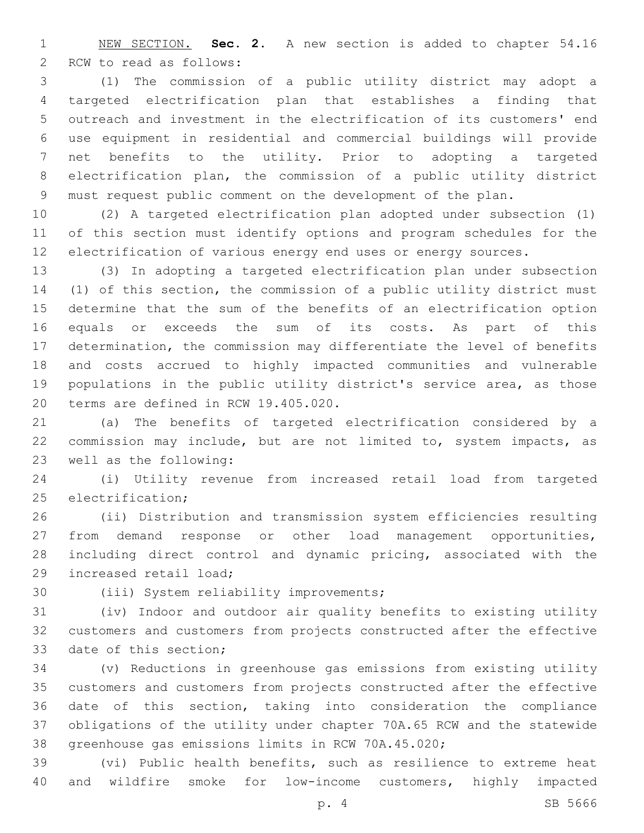NEW SECTION. **Sec. 2.** A new section is added to chapter 54.16 2 RCW to read as follows:

 (1) The commission of a public utility district may adopt a targeted electrification plan that establishes a finding that outreach and investment in the electrification of its customers' end use equipment in residential and commercial buildings will provide net benefits to the utility. Prior to adopting a targeted electrification plan, the commission of a public utility district must request public comment on the development of the plan.

 (2) A targeted electrification plan adopted under subsection (1) of this section must identify options and program schedules for the electrification of various energy end uses or energy sources.

 (3) In adopting a targeted electrification plan under subsection (1) of this section, the commission of a public utility district must determine that the sum of the benefits of an electrification option equals or exceeds the sum of its costs. As part of this determination, the commission may differentiate the level of benefits and costs accrued to highly impacted communities and vulnerable populations in the public utility district's service area, as those 20 terms are defined in RCW 19.405.020.

 (a) The benefits of targeted electrification considered by a commission may include, but are not limited to, system impacts, as 23 well as the following:

 (i) Utility revenue from increased retail load from targeted 25 electrification;

 (ii) Distribution and transmission system efficiencies resulting from demand response or other load management opportunities, including direct control and dynamic pricing, associated with the 29 increased retail load;

30 (iii) System reliability improvements;

 (iv) Indoor and outdoor air quality benefits to existing utility customers and customers from projects constructed after the effective 33 date of this section;

 (v) Reductions in greenhouse gas emissions from existing utility customers and customers from projects constructed after the effective date of this section, taking into consideration the compliance obligations of the utility under chapter 70A.65 RCW and the statewide greenhouse gas emissions limits in RCW 70A.45.020;

 (vi) Public health benefits, such as resilience to extreme heat and wildfire smoke for low-income customers, highly impacted

p. 4 SB 5666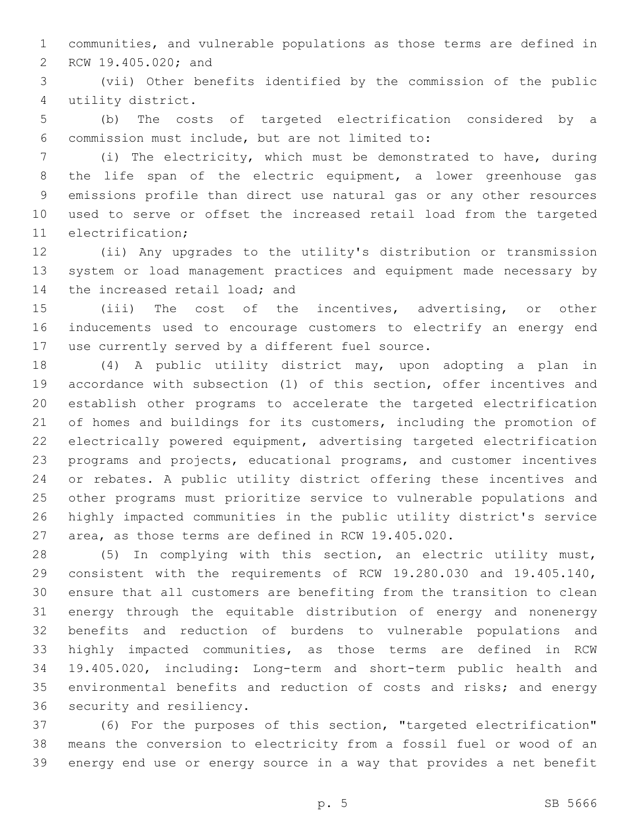communities, and vulnerable populations as those terms are defined in 2 RCW 19.405.020; and

 (vii) Other benefits identified by the commission of the public utility district.4

 (b) The costs of targeted electrification considered by a commission must include, but are not limited to:6

 (i) The electricity, which must be demonstrated to have, during the life span of the electric equipment, a lower greenhouse gas emissions profile than direct use natural gas or any other resources used to serve or offset the increased retail load from the targeted 11 electrification:

 (ii) Any upgrades to the utility's distribution or transmission system or load management practices and equipment made necessary by 14 the increased retail load; and

 (iii) The cost of the incentives, advertising, or other inducements used to encourage customers to electrify an energy end 17 use currently served by a different fuel source.

 (4) A public utility district may, upon adopting a plan in accordance with subsection (1) of this section, offer incentives and establish other programs to accelerate the targeted electrification of homes and buildings for its customers, including the promotion of electrically powered equipment, advertising targeted electrification programs and projects, educational programs, and customer incentives or rebates. A public utility district offering these incentives and other programs must prioritize service to vulnerable populations and highly impacted communities in the public utility district's service area, as those terms are defined in RCW 19.405.020.

 (5) In complying with this section, an electric utility must, consistent with the requirements of RCW 19.280.030 and 19.405.140, ensure that all customers are benefiting from the transition to clean energy through the equitable distribution of energy and nonenergy benefits and reduction of burdens to vulnerable populations and highly impacted communities, as those terms are defined in RCW 19.405.020, including: Long-term and short-term public health and environmental benefits and reduction of costs and risks; and energy 36 security and resiliency.

 (6) For the purposes of this section, "targeted electrification" means the conversion to electricity from a fossil fuel or wood of an energy end use or energy source in a way that provides a net benefit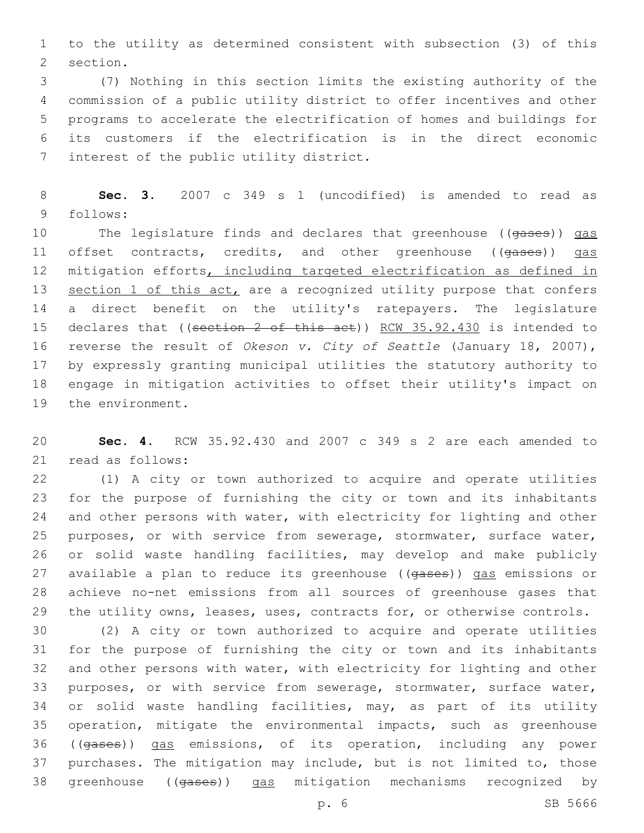to the utility as determined consistent with subsection (3) of this 2 section.

 (7) Nothing in this section limits the existing authority of the commission of a public utility district to offer incentives and other programs to accelerate the electrification of homes and buildings for its customers if the electrification is in the direct economic 7 interest of the public utility district.

 **Sec. 3.** 2007 c 349 s 1 (uncodified) is amended to read as follows:9

10 The legislature finds and declares that greenhouse ((gases)) gas 11 offset contracts, credits, and other greenhouse ((gases)) gas mitigation efforts, including targeted electrification as defined in 13 section 1 of this act, are a recognized utility purpose that confers a direct benefit on the utility's ratepayers. The legislature 15 declares that ((section 2 of this act)) RCW 35.92.430 is intended to reverse the result of *Okeson v. City of Seattle* (January 18, 2007), by expressly granting municipal utilities the statutory authority to engage in mitigation activities to offset their utility's impact on 19 the environment.

 **Sec. 4.** RCW 35.92.430 and 2007 c 349 s 2 are each amended to 21 read as follows:

 (1) A city or town authorized to acquire and operate utilities for the purpose of furnishing the city or town and its inhabitants and other persons with water, with electricity for lighting and other purposes, or with service from sewerage, stormwater, surface water, or solid waste handling facilities, may develop and make publicly 27 available a plan to reduce its greenhouse ((gases)) gas emissions or achieve no-net emissions from all sources of greenhouse gases that the utility owns, leases, uses, contracts for, or otherwise controls.

 (2) A city or town authorized to acquire and operate utilities for the purpose of furnishing the city or town and its inhabitants and other persons with water, with electricity for lighting and other purposes, or with service from sewerage, stormwater, surface water, 34 or solid waste handling facilities, may, as part of its utility operation, mitigate the environmental impacts, such as greenhouse ((gases)) gas emissions, of its operation, including any power purchases. The mitigation may include, but is not limited to, those greenhouse ((gases)) gas mitigation mechanisms recognized by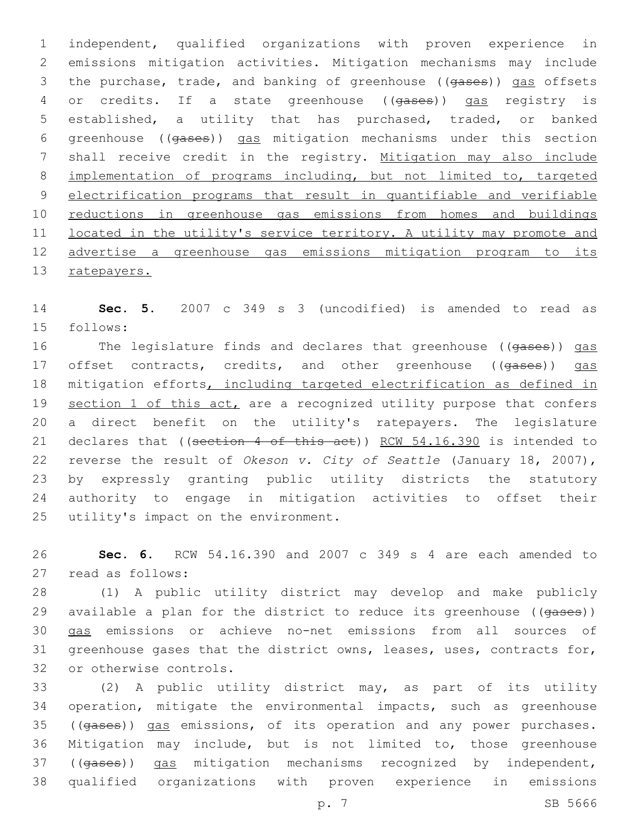independent, qualified organizations with proven experience in emissions mitigation activities. Mitigation mechanisms may include 3 the purchase, trade, and banking of greenhouse ((gases)) gas offsets 4 or credits. If a state greenhouse ((gases)) gas registry is established, a utility that has purchased, traded, or banked greenhouse ((gases)) gas mitigation mechanisms under this section shall receive credit in the registry. Mitigation may also include implementation of programs including, but not limited to, targeted electrification programs that result in quantifiable and verifiable reductions in greenhouse gas emissions from homes and buildings located in the utility's service territory. A utility may promote and advertise a greenhouse gas emissions mitigation program to its 13 ratepayers.

 **Sec. 5.** 2007 c 349 s 3 (uncodified) is amended to read as 15 follows:

16 The legislature finds and declares that greenhouse ((gases)) gas 17 offset contracts, credits, and other greenhouse ((gases)) gas mitigation efforts, including targeted electrification as defined in 19 section 1 of this act, are a recognized utility purpose that confers a direct benefit on the utility's ratepayers. The legislature 21 declares that ((section 4 of this act)) RCW 54.16.390 is intended to reverse the result of *Okeson v. City of Seattle* (January 18, 2007), by expressly granting public utility districts the statutory authority to engage in mitigation activities to offset their 25 utility's impact on the environment.

 **Sec. 6.** RCW 54.16.390 and 2007 c 349 s 4 are each amended to read as follows:27

 (1) A public utility district may develop and make publicly 29 available a plan for the district to reduce its greenhouse ((gases)) gas emissions or achieve no-net emissions from all sources of greenhouse gases that the district owns, leases, uses, contracts for, 32 or otherwise controls.

 (2) A public utility district may, as part of its utility operation, mitigate the environmental impacts, such as greenhouse 35 ((gases)) gas emissions, of its operation and any power purchases. Mitigation may include, but is not limited to, those greenhouse ((gases)) gas mitigation mechanisms recognized by independent, qualified organizations with proven experience in emissions